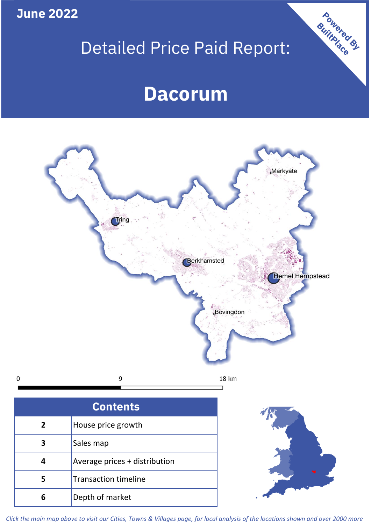**June 2022**

# Detailed Price Paid Report:

Powered By

## **Dacorum**



*Click the main map above to visit our Cities, Towns & Villages page, for local analysis of the locations shown and over 2000 more*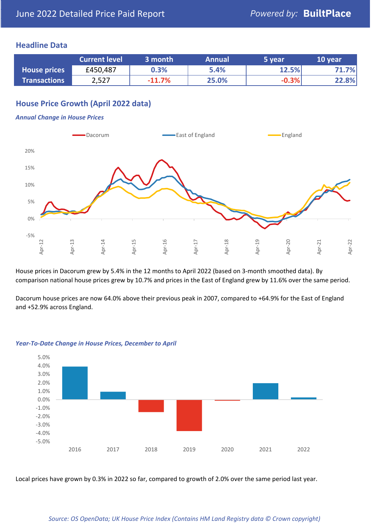#### **Headline Data**

|                     | <b>Current level</b> | 3 month  | <b>Annual</b> | 5 year  | 10 year |
|---------------------|----------------------|----------|---------------|---------|---------|
| <b>House prices</b> | £450,487             | 0.3%     | 5.4%          | 12.5%   | .7%     |
| <b>Transactions</b> | 2,527                | $-11.7%$ | 25.0%         | $-0.3%$ | 22.8%   |

#### **House Price Growth (April 2022 data)**

#### *Annual Change in House Prices*



House prices in Dacorum grew by 5.4% in the 12 months to April 2022 (based on 3-month smoothed data). By comparison national house prices grew by 10.7% and prices in the East of England grew by 11.6% over the same period.

Dacorum house prices are now 64.0% above their previous peak in 2007, compared to +64.9% for the East of England and +52.9% across England.



#### *Year-To-Date Change in House Prices, December to April*

Local prices have grown by 0.3% in 2022 so far, compared to growth of 2.0% over the same period last year.

#### *Source: OS OpenData; UK House Price Index (Contains HM Land Registry data © Crown copyright)*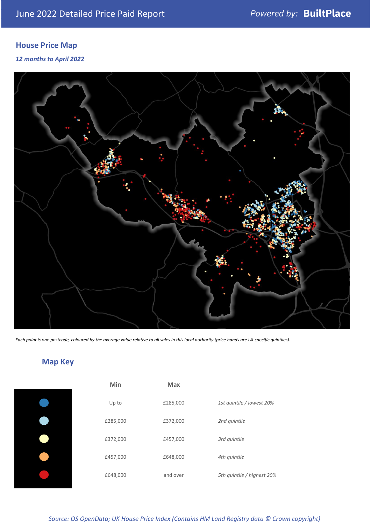### **House Price Map**

*12 months to April 2022*



*Each point is one postcode, coloured by the average value relative to all sales in this local authority (price bands are LA-specific quintiles).*

**Map Key**

| Min      | <b>Max</b> |                            |
|----------|------------|----------------------------|
| Up to    | £285,000   | 1st quintile / lowest 20%  |
| £285,000 | £372,000   | 2nd quintile               |
| £372,000 | £457,000   | 3rd quintile               |
| £457,000 | £648,000   | 4th quintile               |
| £648,000 | and over   | 5th quintile / highest 20% |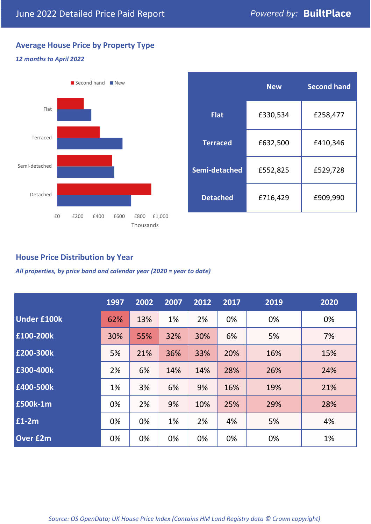### **Average House Price by Property Type**

#### *12 months to April 2022*



|                 | <b>New</b> | <b>Second hand</b> |  |  |
|-----------------|------------|--------------------|--|--|
| <b>Flat</b>     | £330,534   | £258,477           |  |  |
| <b>Terraced</b> | £632,500   | £410,346           |  |  |
| Semi-detached   | £552,825   | £529,728           |  |  |
| <b>Detached</b> | £716,429   | £909,990           |  |  |

#### **House Price Distribution by Year**

*All properties, by price band and calendar year (2020 = year to date)*

|                    | 1997 | 2002 | 2007 | 2012 | 2017 | 2019 | 2020 |
|--------------------|------|------|------|------|------|------|------|
| <b>Under £100k</b> | 62%  | 13%  | 1%   | 2%   | 0%   | 0%   | 0%   |
| £100-200k          | 30%  | 55%  | 32%  | 30%  | 6%   | 5%   | 7%   |
| E200-300k          | 5%   | 21%  | 36%  | 33%  | 20%  | 16%  | 15%  |
| £300-400k          | 2%   | 6%   | 14%  | 14%  | 28%  | 26%  | 24%  |
| £400-500k          | 1%   | 3%   | 6%   | 9%   | 16%  | 19%  | 21%  |
| <b>£500k-1m</b>    | 0%   | 2%   | 9%   | 10%  | 25%  | 29%  | 28%  |
| £1-2m              | 0%   | 0%   | 1%   | 2%   | 4%   | 5%   | 4%   |
| <b>Over £2m</b>    | 0%   | 0%   | 0%   | 0%   | 0%   | 0%   | 1%   |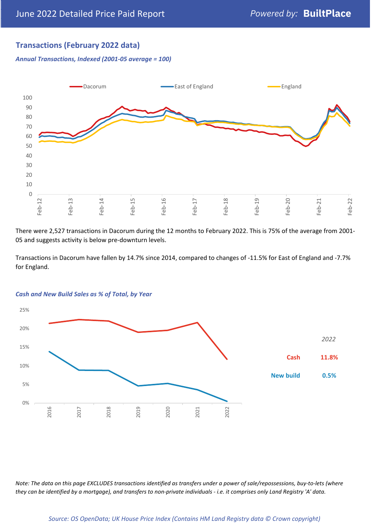#### **Transactions (February 2022 data)**

*Annual Transactions, Indexed (2001-05 average = 100)*



There were 2,527 transactions in Dacorum during the 12 months to February 2022. This is 75% of the average from 2001- 05 and suggests activity is below pre-downturn levels.

Transactions in Dacorum have fallen by 14.7% since 2014, compared to changes of -11.5% for East of England and -7.7% for England.



#### *Cash and New Build Sales as % of Total, by Year*

*Note: The data on this page EXCLUDES transactions identified as transfers under a power of sale/repossessions, buy-to-lets (where they can be identified by a mortgage), and transfers to non-private individuals - i.e. it comprises only Land Registry 'A' data.*